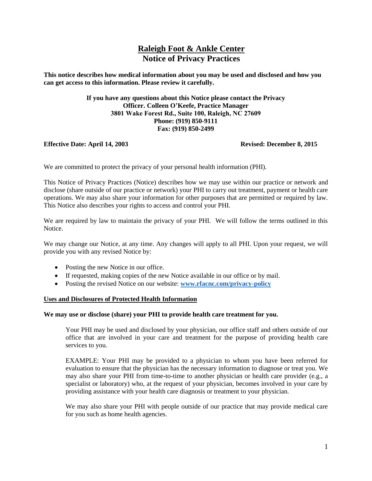# **Raleigh Foot & Ankle Center Notice of Privacy Practices**

**This notice describes how medical information about you may be used and disclosed and how you can get access to this information. Please review it carefully.** 

> **If you have any questions about this Notice please contact the Privacy Officer. Colleen O'Keefe, Practice Manager 3801 Wake Forest Rd., Suite 100, Raleigh, NC 27609 Phone: (919) 850-9111 Fax: (919) 850-2499**

# **Effective Date: April 14, 2003 Revised: December 8, 2015**

We are committed to protect the privacy of your personal health information (PHI).

This Notice of Privacy Practices (Notice) describes how we may use within our practice or network and disclose (share outside of our practice or network) your PHI to carry out treatment, payment or health care operations. We may also share your information for other purposes that are permitted or required by law. This Notice also describes your rights to access and control your PHI.

We are required by law to maintain the privacy of your PHI. We will follow the terms outlined in this **Notice** 

We may change our Notice, at any time. Any changes will apply to all PHI. Upon your request, we will provide you with any revised Notice by:

- Posting the new Notice in our office.
- If requested, making copies of the new Notice available in our office or by mail.
- Posting the revised Notice on our website: **[www.rfacnc.com/privacy-policy](http://www.rfacnc.com/privacy-policy)**

# **Uses and Disclosures of Protected Health Information**

#### **We may use or disclose (share) your PHI to provide health care treatment for you.**

Your PHI may be used and disclosed by your physician, our office staff and others outside of our office that are involved in your care and treatment for the purpose of providing health care services to you.

EXAMPLE: Your PHI may be provided to a physician to whom you have been referred for evaluation to ensure that the physician has the necessary information to diagnose or treat you. We may also share your PHI from time-to-time to another physician or health care provider (e.g., a specialist or laboratory) who, at the request of your physician, becomes involved in your care by providing assistance with your health care diagnosis or treatment to your physician.

We may also share your PHI with people outside of our practice that may provide medical care for you such as home health agencies.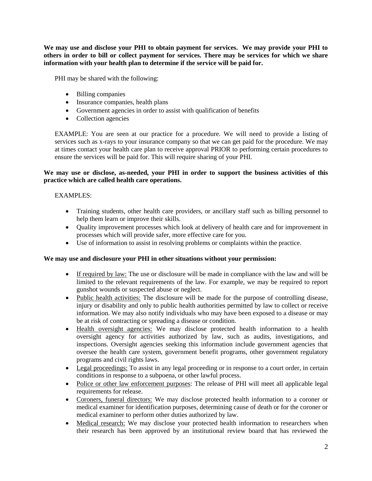**We may use and disclose your PHI to obtain payment for services. We may provide your PHI to others in order to bill or collect payment for services. There may be services for which we share information with your health plan to determine if the service will be paid for.**

PHI may be shared with the following:

- Billing companies
- Insurance companies, health plans
- Government agencies in order to assist with qualification of benefits
- Collection agencies

EXAMPLE: You are seen at our practice for a procedure. We will need to provide a listing of services such as x-rays to your insurance company so that we can get paid for the procedure. We may at times contact your health care plan to receive approval PRIOR to performing certain procedures to ensure the services will be paid for. This will require sharing of your PHI.

# **We may use or disclose, as-needed, your PHI in order to support the business activities of this practice which are called health care operations.**

# EXAMPLES:

- Training students, other health care providers, or ancillary staff such as billing personnel to help them learn or improve their skills.
- Quality improvement processes which look at delivery of health care and for improvement in processes which will provide safer, more effective care for you.
- Use of information to assist in resolving problems or complaints within the practice.

# **We may use and disclosure your PHI in other situations without your permission:**

- If required by law: The use or disclosure will be made in compliance with the law and will be limited to the relevant requirements of the law. For example, we may be required to report gunshot wounds or suspected abuse or neglect.
- Public health activities: The disclosure will be made for the purpose of controlling disease, injury or disability and only to public health authorities permitted by law to collect or receive information. We may also notify individuals who may have been exposed to a disease or may be at risk of contracting or spreading a disease or condition.
- Health oversight agencies: We may disclose protected health information to a health oversight agency for activities authorized by law, such as audits, investigations, and inspections. Oversight agencies seeking this information include government agencies that oversee the health care system, government benefit programs, other government regulatory programs and civil rights laws.
- Legal proceedings: To assist in any legal proceeding or in response to a court order, in certain conditions in response to a subpoena, or other lawful process.
- Police or other law enforcement purposes: The release of PHI will meet all applicable legal requirements for release.
- Coroners, funeral directors: We may disclose protected health information to a coroner or medical examiner for identification purposes, determining cause of death or for the coroner or medical examiner to perform other duties authorized by law.
- Medical research: We may disclose your protected health information to researchers when their research has been approved by an institutional review board that has reviewed the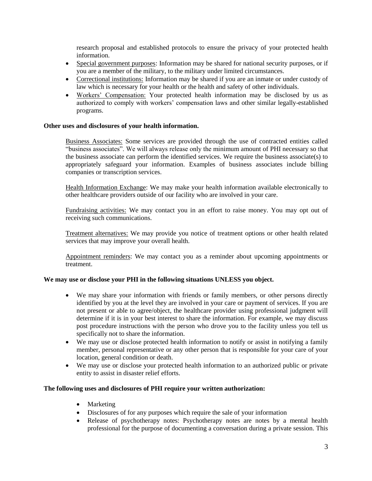research proposal and established protocols to ensure the privacy of your protected health information.

- Special government purposes: Information may be shared for national security purposes, or if you are a member of the military, to the military under limited circumstances.
- Correctional institutions: Information may be shared if you are an inmate or under custody of law which is necessary for your health or the health and safety of other individuals.
- Workers' Compensation: Your protected health information may be disclosed by us as authorized to comply with workers' compensation laws and other similar legally-established programs.

# **Other uses and disclosures of your health information.**

Business Associates: Some services are provided through the use of contracted entities called "business associates". We will always release only the minimum amount of PHI necessary so that the business associate can perform the identified services. We require the business associate(s) to appropriately safeguard your information. Examples of business associates include billing companies or transcription services.

Health Information Exchange: We may make your health information available electronically to other healthcare providers outside of our facility who are involved in your care.

Fundraising activities: We may contact you in an effort to raise money. You may opt out of receiving such communications.

Treatment alternatives: We may provide you notice of treatment options or other health related services that may improve your overall health.

Appointment reminders: We may contact you as a reminder about upcoming appointments or treatment.

#### **We may use or disclose your PHI in the following situations UNLESS you object.**

- We may share your information with friends or family members, or other persons directly identified by you at the level they are involved in your care or payment of services. If you are not present or able to agree/object, the healthcare provider using professional judgment will determine if it is in your best interest to share the information. For example, we may discuss post procedure instructions with the person who drove you to the facility unless you tell us specifically not to share the information.
- We may use or disclose protected health information to notify or assist in notifying a family member, personal representative or any other person that is responsible for your care of your location, general condition or death.
- We may use or disclose your protected health information to an authorized public or private entity to assist in disaster relief efforts.

### **The following uses and disclosures of PHI require your written authorization:**

- Marketing
- Disclosures of for any purposes which require the sale of your information
- Release of psychotherapy notes: Psychotherapy notes are notes by a mental health professional for the purpose of documenting a conversation during a private session. This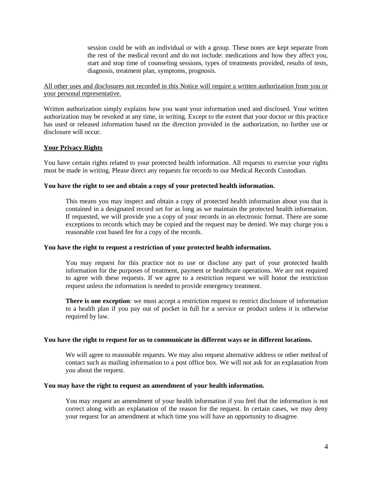session could be with an individual or with a group. These notes are kept separate from the rest of the medical record and do not include: medications and how they affect you, start and stop time of counseling sessions, types of treatments provided, results of tests, diagnosis, treatment plan, symptoms, prognosis.

# All other uses and disclosures not recorded in this Notice will require a written authorization from you or your personal representative.

Written authorization simply explains how you want your information used and disclosed. Your written authorization may be revoked at any time, in writing. Except to the extent that your doctor or this practice has used or released information based on the direction provided in the authorization, no further use or disclosure will occur.

# **Your Privacy Rights**

You have certain rights related to your protected health information. All requests to exercise your rights must be made in writing. Please direct any requests for records to our Medical Records Custodian.

# **You have the right to see and obtain a copy of your protected health information.**

This means you may inspect and obtain a copy of protected health information about you that is contained in a designated record set for as long as we maintain the protected health information. If requested, we will provide you a copy of your records in an electronic format. There are some exceptions to records which may be copied and the request may be denied. We may charge you a reasonable cost based fee for a copy of the records.

# **You have the right to request a restriction of your protected health information.**

You may request for this practice not to use or disclose any part of your protected health information for the purposes of treatment, payment or healthcare operations. We are not required to agree with these requests. If we agree to a restriction request we will honor the restriction request unless the information is needed to provide emergency treatment.

**There is one exception**: we must accept a restriction request to restrict disclosure of information to a health plan if you pay out of pocket in full for a service or product unless it is otherwise required by law.

# **You have the right to request for us to communicate in different ways or in different locations.**

We will agree to reasonable requests. We may also request alternative address or other method of contact such as mailing information to a post office box. We will not ask for an explanation from you about the request.

# **You may have the right to request an amendment of your health information.**

You may request an amendment of your health information if you feel that the information is not correct along with an explanation of the reason for the request. In certain cases, we may deny your request for an amendment at which time you will have an opportunity to disagree.